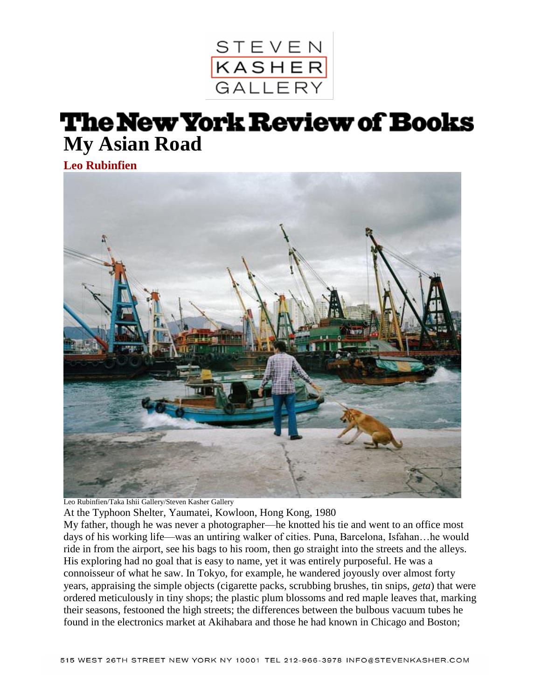

## **The New York Review of Books My Asian Road**

**[Leo Rubinfien](http://www.nybooks.com/contributors/leo-rubinfien1/?tab=tab-blog)**



Leo Rubinfien/Taka Ishii Gallery/Steven Kasher Gallery

At the Typhoon Shelter, Yaumatei, Kowloon, Hong Kong, 1980

My father, though he was never a photographer—he knotted his tie and went to an office most days of his working life—was an untiring walker of cities. Puna, Barcelona, Isfahan…he would ride in from the airport, see his bags to his room, then go straight into the streets and the alleys. His exploring had no goal that is easy to name, yet it was entirely purposeful. He was a connoisseur of what he saw. In Tokyo, for example, he wandered joyously over almost forty years, appraising the simple objects (cigarette packs, scrubbing brushes, tin snips, *geta*) that were ordered meticulously in tiny shops; the plastic plum blossoms and red maple leaves that, marking their seasons, festooned the high streets; the differences between the bulbous vacuum tubes he found in the electronics market at Akihabara and those he had known in Chicago and Boston;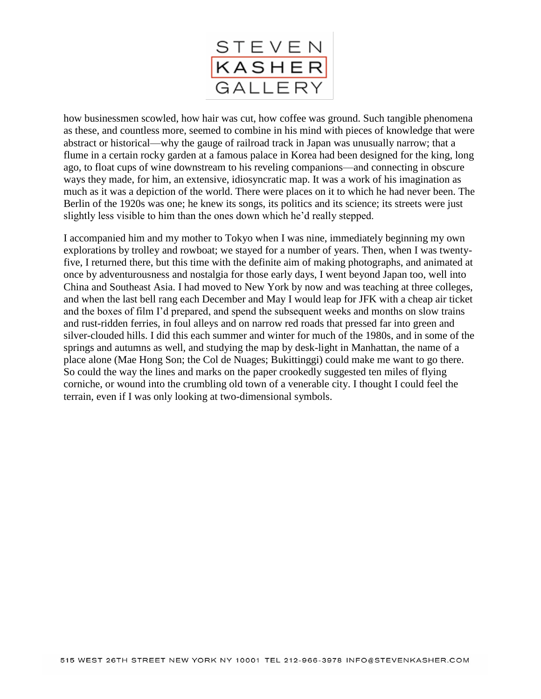

how businessmen scowled, how hair was cut, how coffee was ground. Such tangible phenomena as these, and countless more, seemed to combine in his mind with pieces of knowledge that were abstract or historical—why the gauge of railroad track in Japan was unusually narrow; that a flume in a certain rocky garden at a famous palace in Korea had been designed for the king, long ago, to float cups of wine downstream to his reveling companions—and connecting in obscure ways they made, for him, an extensive, idiosyncratic map. It was a work of his imagination as much as it was a depiction of the world. There were places on it to which he had never been. The Berlin of the 1920s was one; he knew its songs, its politics and its science; its streets were just slightly less visible to him than the ones down which he'd really stepped.

I accompanied him and my mother to Tokyo when I was nine, immediately beginning my own explorations by trolley and rowboat; we stayed for a number of years. Then, when I was twentyfive, I returned there, but this time with the definite aim of making photographs, and animated at once by adventurousness and nostalgia for those early days, I went beyond Japan too, well into China and Southeast Asia. I had moved to New York by now and was teaching at three colleges, and when the last bell rang each December and May I would leap for JFK with a cheap air ticket and the boxes of film I'd prepared, and spend the subsequent weeks and months on slow trains and rust-ridden ferries, in foul alleys and on narrow red roads that pressed far into green and silver-clouded hills. I did this each summer and winter for much of the 1980s, and in some of the springs and autumns as well, and studying the map by desk-light in Manhattan, the name of a place alone (Mae Hong Son; the Col de Nuages; Bukittinggi) could make me want to go there. So could the way the lines and marks on the paper crookedly suggested ten miles of flying corniche, or wound into the crumbling old town of a venerable city. I thought I could feel the terrain, even if I was only looking at two-dimensional symbols.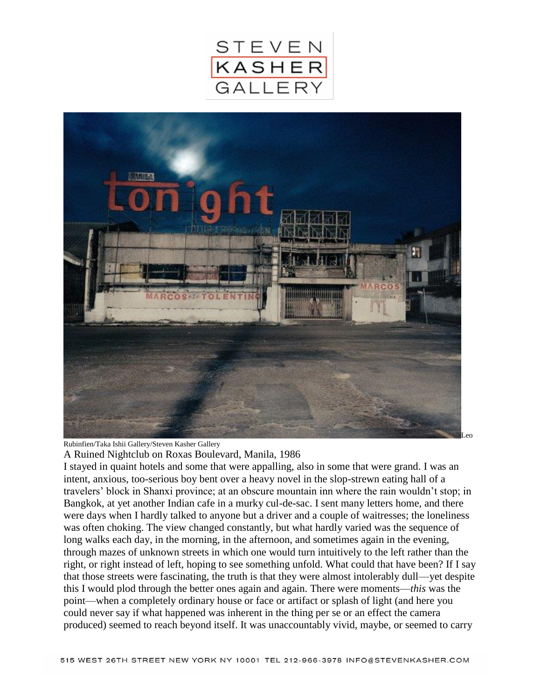



Rubinfien/Taka Ishii Gallery/Steven Kasher Gallery

A Ruined Nightclub on Roxas Boulevard, Manila, 1986

I stayed in quaint hotels and some that were appalling, also in some that were grand. I was an intent, anxious, too-serious boy bent over a heavy novel in the slop-strewn eating hall of a travelers' block in Shanxi province; at an obscure mountain inn where the rain wouldn't stop; in Bangkok, at yet another Indian cafe in a murky cul-de-sac. I sent many letters home, and there were days when I hardly talked to anyone but a driver and a couple of waitresses; the loneliness was often choking. The view changed constantly, but what hardly varied was the sequence of long walks each day, in the morning, in the afternoon, and sometimes again in the evening, through mazes of unknown streets in which one would turn intuitively to the left rather than the right, or right instead of left, hoping to see something unfold. What could that have been? If I say that those streets were fascinating, the truth is that they were almost intolerably dull—yet despite this I would plod through the better ones again and again. There were moments—*this* was the point—when a completely ordinary house or face or artifact or splash of light (and here you could never say if what happened was inherent in the thing per se or an effect the camera produced) seemed to reach beyond itself. It was unaccountably vivid, maybe, or seemed to carry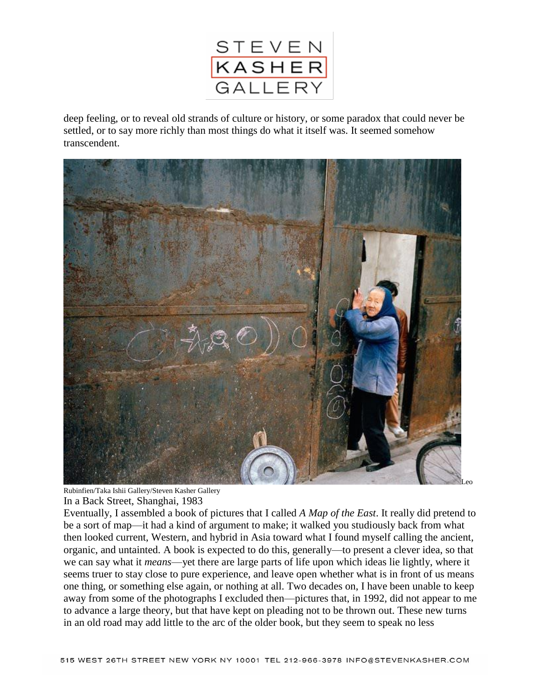

deep feeling, or to reveal old strands of culture or history, or some paradox that could never be settled, or to say more richly than most things do what it itself was. It seemed somehow transcendent.



```
Rubinfien/Taka Ishii Gallery/Steven Kasher Gallery
In a Back Street, Shanghai, 1983
```
Eventually, I assembled a book of pictures that I called *A Map of the East*. It really did pretend to be a sort of map—it had a kind of argument to make; it walked you studiously back from what then looked current, Western, and hybrid in Asia toward what I found myself calling the ancient, organic, and untainted. A book is expected to do this, generally—to present a clever idea, so that we can say what it *means*—yet there are large parts of life upon which ideas lie lightly, where it seems truer to stay close to pure experience, and leave open whether what is in front of us means one thing, or something else again, or nothing at all. Two decades on, I have been unable to keep away from some of the photographs I excluded then—pictures that, in 1992, did not appear to me to advance a large theory, but that have kept on pleading not to be thrown out. These new turns in an old road may add little to the arc of the older book, but they seem to speak no less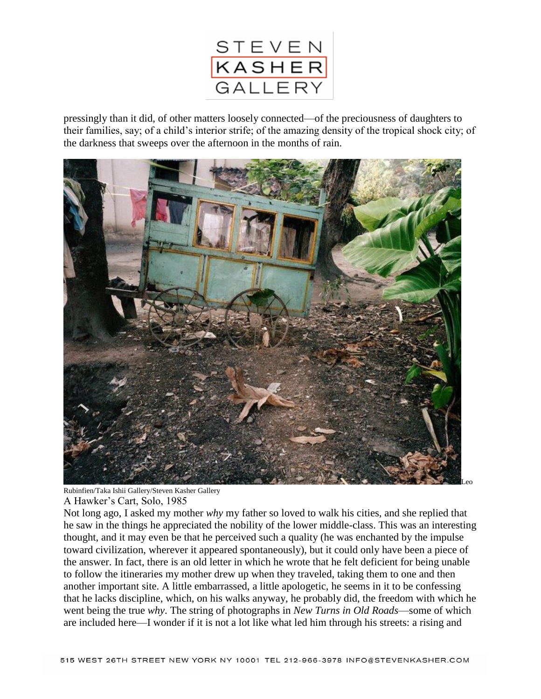

pressingly than it did, of other matters loosely connected—of the preciousness of daughters to their families, say; of a child's interior strife; of the amazing density of the tropical shock city; of the darkness that sweeps over the afternoon in the months of rain.



Rubinfien/Taka Ishii Gallery/Steven Kasher Gallery

A Hawker's Cart, Solo, 1985

Not long ago, I asked my mother *why* my father so loved to walk his cities, and she replied that he saw in the things he appreciated the nobility of the lower middle-class. This was an interesting thought, and it may even be that he perceived such a quality (he was enchanted by the impulse toward civilization, wherever it appeared spontaneously), but it could only have been a piece of the answer. In fact, there is an old letter in which he wrote that he felt deficient for being unable to follow the itineraries my mother drew up when they traveled, taking them to one and then another important site. A little embarrassed, a little apologetic, he seems in it to be confessing that he lacks discipline, which, on his walks anyway, he probably did, the freedom with which he went being the true *why*. The string of photographs in *New Turns in Old Roads*—some of which are included here—I wonder if it is not a lot like what led him through his streets: a rising and